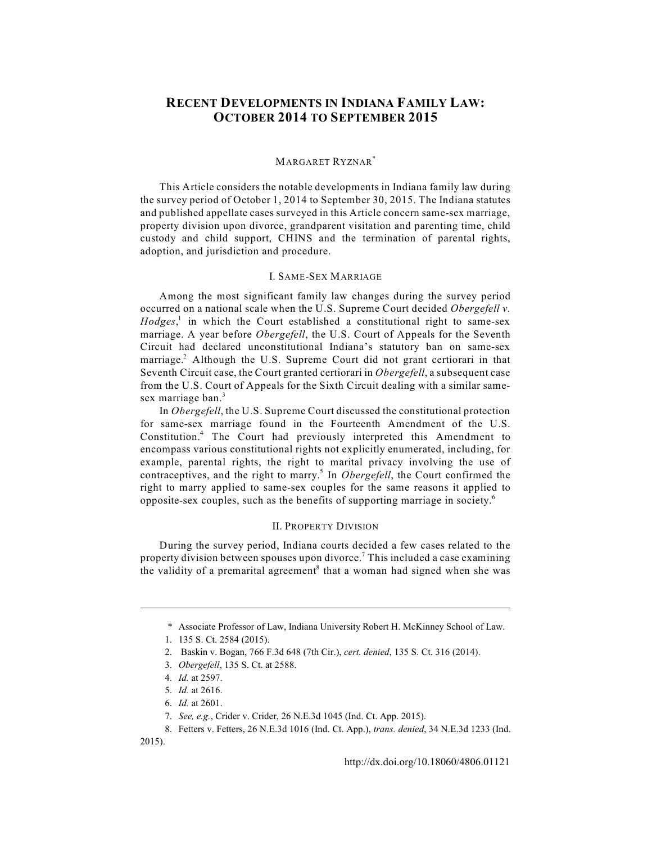# **RECENT DEVELOPMENTS IN INDIANA FAMILY LAW: OCTOBER 2014 TO SEPTEMBER 2015**

### MARGARET RYZNAR<sup>\*</sup>

This Article considers the notable developments in Indiana family law during the survey period of October 1, 2014 to September 30, 2015. The Indiana statutes and published appellate cases surveyed in this Article concern same-sex marriage, property division upon divorce, grandparent visitation and parenting time, child custody and child support, CHINS and the termination of parental rights, adoption, and jurisdiction and procedure.

### I. SAME-SEX MARRIAGE

Among the most significant family law changes during the survey period occurred on a national scale when the U.S. Supreme Court decided *Obergefell v.*  $Hodges$ , in which the Court established a constitutional right to same-sex marriage. A year before *Obergefell*, the U.S. Court of Appeals for the Seventh Circuit had declared unconstitutional Indiana's statutory ban on same-sex marriage.<sup>2</sup> Although the U.S. Supreme Court did not grant certiorari in that Seventh Circuit case, the Court granted certiorari in *Obergefell*, a subsequent case from the U.S. Court of Appeals for the Sixth Circuit dealing with a similar samesex marriage ban.<sup>3</sup>

In *Obergefell*, the U.S. Supreme Court discussed the constitutional protection for same-sex marriage found in the Fourteenth Amendment of the U.S. Constitution.<sup>4</sup> The Court had previously interpreted this Amendment to encompass various constitutional rights not explicitly enumerated, including, for example, parental rights, the right to marital privacy involving the use of contraceptives, and the right to marry.<sup>5</sup> In *Obergefell*, the Court confirmed the right to marry applied to same-sex couples for the same reasons it applied to opposite-sex couples, such as the benefits of supporting marriage in society.<sup>6</sup>

# II. PROPERTY DIVISION

During the survey period, Indiana courts decided a few cases related to the property division between spouses upon divorce.<sup>7</sup> This included a case examining the validity of a premarital agreement<sup>8</sup> that a woman had signed when she was

<sup>\*</sup> Associate Professor of Law, Indiana University Robert H. McKinney School of Law.

<sup>1. 135</sup> S. Ct. 2584 (2015).

<sup>2.</sup> Baskin v. Bogan, 766 F.3d 648 (7th Cir.), *cert. denied*, 135 S. Ct. 316 (2014).

<sup>3.</sup> *Obergefell*, 135 S. Ct. at 2588.

<sup>4.</sup> *Id.* at 2597.

<sup>5.</sup> *Id.* at 2616.

<sup>6.</sup> *Id.* at 2601.

<sup>7.</sup> *See, e.g.*, Crider v. Crider, 26 N.E.3d 1045 (Ind. Ct. App. 2015).

<sup>8.</sup> Fetters v. Fetters, 26 N.E.3d 1016 (Ind. Ct. App.), *trans. denied*, 34 N.E.3d 1233 (Ind. 2015).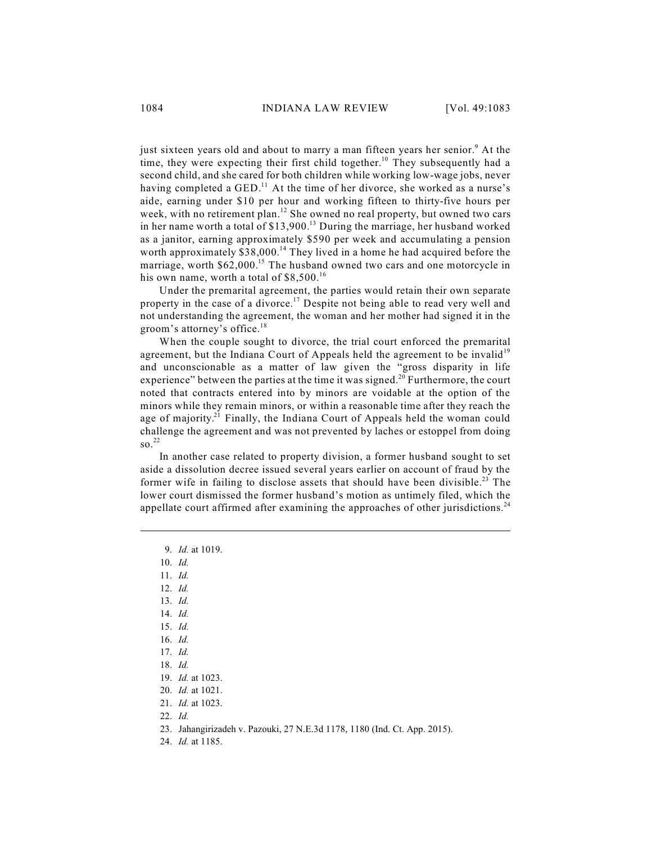just sixteen years old and about to marry a man fifteen years her senior.<sup>9</sup> At the time, they were expecting their first child together.<sup>10</sup> They subsequently had a second child, and she cared for both children while working low-wage jobs, never having completed a GED.<sup>11</sup> At the time of her divorce, she worked as a nurse's aide, earning under \$10 per hour and working fifteen to thirty-five hours per week, with no retirement plan.<sup>12</sup> She owned no real property, but owned two cars in her name worth a total of  $$13,900.<sup>13</sup>$  During the marriage, her husband worked as a janitor, earning approximately \$590 per week and accumulating a pension worth approximately  $$38,000$ .<sup>14</sup> They lived in a home he had acquired before the marriage, worth \$62,000.<sup>15</sup> The husband owned two cars and one motorcycle in his own name, worth a total of  $$8,500.<sup>16</sup>$ 

Under the premarital agreement, the parties would retain their own separate property in the case of a divorce.<sup>17</sup> Despite not being able to read very well and not understanding the agreement, the woman and her mother had signed it in the groom's attorney's office.<sup>18</sup>

When the couple sought to divorce, the trial court enforced the premarital agreement, but the Indiana Court of Appeals held the agreement to be invalid<sup>19</sup> and unconscionable as a matter of law given the "gross disparity in life experience" between the parties at the time it was signed.<sup>20</sup> Furthermore, the court noted that contracts entered into by minors are voidable at the option of the minors while they remain minors, or within a reasonable time after they reach the age of majority.<sup>21</sup> Finally, the Indiana Court of Appeals held the woman could challenge the agreement and was not prevented by laches or estoppel from doing so. 22

In another case related to property division, a former husband sought to set aside a dissolution decree issued several years earlier on account of fraud by the former wife in failing to disclose assets that should have been divisible.<sup>23</sup> The lower court dismissed the former husband's motion as untimely filed, which the appellate court affirmed after examining the approaches of other jurisdictions.<sup>24</sup>

9. *Id.* at 1019.

- 10. *Id.*
- 11. *Id.*
- 12. *Id.*
- 13. *Id.*
- 14. *Id.*
- 15. *Id.*
- 16. *Id.*
- 17. *Id.*

- 19. *Id.* at 1023.
- 20. *Id.* at 1021.
- 21. *Id.* at 1023.
- 22. *Id.*
- 23. Jahangirizadeh v. Pazouki, 27 N.E.3d 1178, 1180 (Ind. Ct. App. 2015).
- 24. *Id.* at 1185.

<sup>18.</sup> *Id.*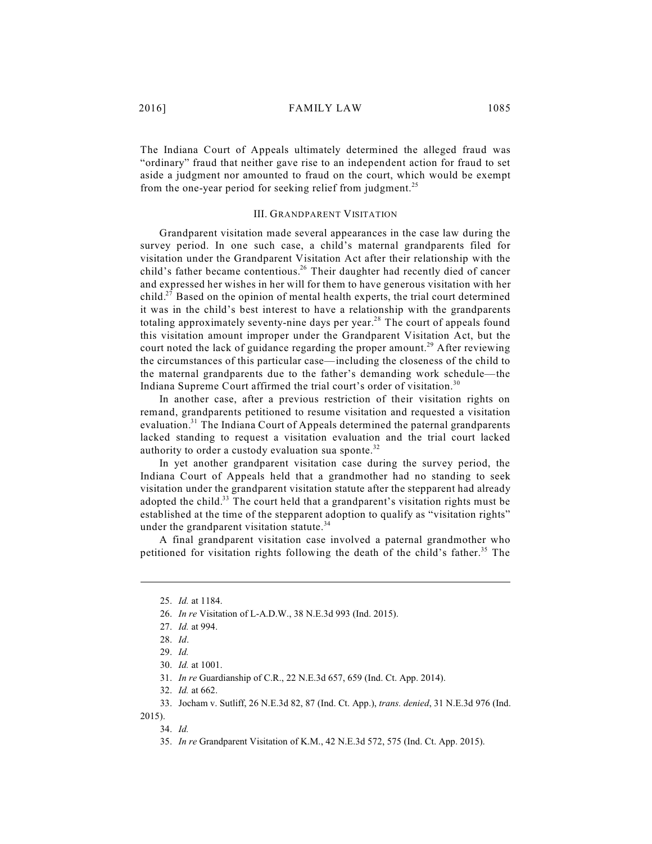The Indiana Court of Appeals ultimately determined the alleged fraud was "ordinary" fraud that neither gave rise to an independent action for fraud to set aside a judgment nor amounted to fraud on the court, which would be exempt from the one-year period for seeking relief from judgment.<sup>25</sup>

### III. GRANDPARENT VISITATION

Grandparent visitation made several appearances in the case law during the survey period. In one such case, a child's maternal grandparents filed for visitation under the Grandparent Visitation Act after their relationship with the child's father became contentious.<sup>26</sup> Their daughter had recently died of cancer and expressed her wishes in her will for them to have generous visitation with her child.<sup>27</sup> Based on the opinion of mental health experts, the trial court determined it was in the child's best interest to have a relationship with the grandparents totaling approximately seventy-nine days per year.<sup>28</sup> The court of appeals found this visitation amount improper under the Grandparent Visitation Act, but the court noted the lack of guidance regarding the proper amount.<sup>29</sup> After reviewing the circumstances of this particular case—including the closeness of the child to the maternal grandparents due to the father's demanding work schedule—the Indiana Supreme Court affirmed the trial court's order of visitation.<sup>30</sup>

In another case, after a previous restriction of their visitation rights on remand, grandparents petitioned to resume visitation and requested a visitation evaluation.<sup>31</sup> The Indiana Court of Appeals determined the paternal grandparents lacked standing to request a visitation evaluation and the trial court lacked authority to order a custody evaluation sua sponte.<sup>32</sup>

In yet another grandparent visitation case during the survey period, the Indiana Court of Appeals held that a grandmother had no standing to seek visitation under the grandparent visitation statute after the stepparent had already adopted the child.<sup>33</sup> The court held that a grandparent's visitation rights must be established at the time of the stepparent adoption to qualify as "visitation rights" under the grandparent visitation statute.<sup>34</sup>

A final grandparent visitation case involved a paternal grandmother who petitioned for visitation rights following the death of the child's father.<sup>35</sup> The

2015).

<sup>25.</sup> *Id.* at 1184.

<sup>26.</sup> *In re* Visitation of L-A.D.W., 38 N.E.3d 993 (Ind. 2015).

<sup>27.</sup> *Id.* at 994.

<sup>28.</sup> *Id*.

<sup>29.</sup> *Id.*

<sup>30.</sup> *Id.* at 1001.

<sup>31.</sup> *In re* Guardianship of C.R., 22 N.E.3d 657, 659 (Ind. Ct. App. 2014).

<sup>32.</sup> *Id.* at 662.

<sup>33.</sup> Jocham v. Sutliff, 26 N.E.3d 82, 87 (Ind. Ct. App.), *trans. denied*, 31 N.E.3d 976 (Ind.

<sup>34.</sup> *Id.*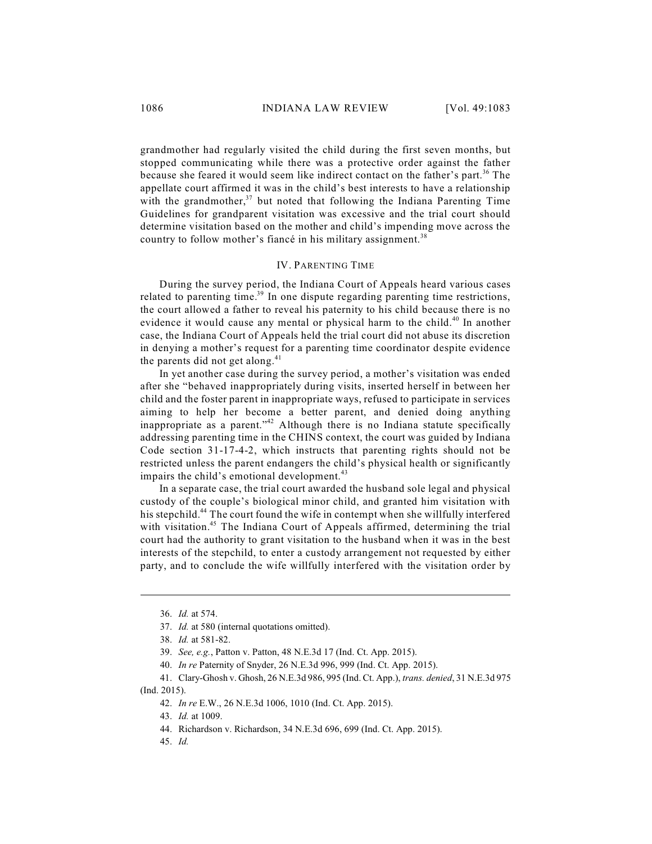grandmother had regularly visited the child during the first seven months, but stopped communicating while there was a protective order against the father because she feared it would seem like indirect contact on the father's part.<sup>36</sup> The appellate court affirmed it was in the child's best interests to have a relationship with the grandmother, $37$  but noted that following the Indiana Parenting Time Guidelines for grandparent visitation was excessive and the trial court should determine visitation based on the mother and child's impending move across the country to follow mother's fiancé in his military assignment.<sup>38</sup>

### IV. PARENTING TIME

During the survey period, the Indiana Court of Appeals heard various cases related to parenting time.<sup>39</sup> In one dispute regarding parenting time restrictions, the court allowed a father to reveal his paternity to his child because there is no evidence it would cause any mental or physical harm to the child.<sup>40</sup> In another case, the Indiana Court of Appeals held the trial court did not abuse its discretion in denying a mother's request for a parenting time coordinator despite evidence the parents did not get along. $41$ 

In yet another case during the survey period, a mother's visitation was ended after she "behaved inappropriately during visits, inserted herself in between her child and the foster parent in inappropriate ways, refused to participate in services aiming to help her become a better parent, and denied doing anything inappropriate as a parent."<sup>42</sup> Although there is no Indiana statute specifically addressing parenting time in the CHINS context, the court was guided by Indiana Code section 31-17-4-2, which instructs that parenting rights should not be restricted unless the parent endangers the child's physical health or significantly impairs the child's emotional development.<sup>43</sup>

In a separate case, the trial court awarded the husband sole legal and physical custody of the couple's biological minor child, and granted him visitation with his stepchild.<sup>44</sup> The court found the wife in contempt when she willfully interfered with visitation.<sup>45</sup> The Indiana Court of Appeals affirmed, determining the trial court had the authority to grant visitation to the husband when it was in the best interests of the stepchild, to enter a custody arrangement not requested by either party, and to conclude the wife willfully interfered with the visitation order by

45. *Id.*

<sup>36.</sup> *Id.* at 574.

<sup>37.</sup> *Id.* at 580 (internal quotations omitted).

<sup>38.</sup> *Id.* at 581-82.

<sup>39.</sup> *See, e.g.*, Patton v. Patton, 48 N.E.3d 17 (Ind. Ct. App. 2015).

<sup>40.</sup> *In re* Paternity of Snyder, 26 N.E.3d 996, 999 (Ind. Ct. App. 2015).

<sup>41.</sup> Clary-Ghosh v. Ghosh, 26 N.E.3d 986, 995 (Ind. Ct. App.), *trans. denied*, 31 N.E.3d 975 (Ind. 2015).

<sup>42.</sup> *In re* E.W., 26 N.E.3d 1006, 1010 (Ind. Ct. App. 2015).

<sup>43.</sup> *Id.* at 1009.

<sup>44.</sup> Richardson v. Richardson, 34 N.E.3d 696, 699 (Ind. Ct. App. 2015).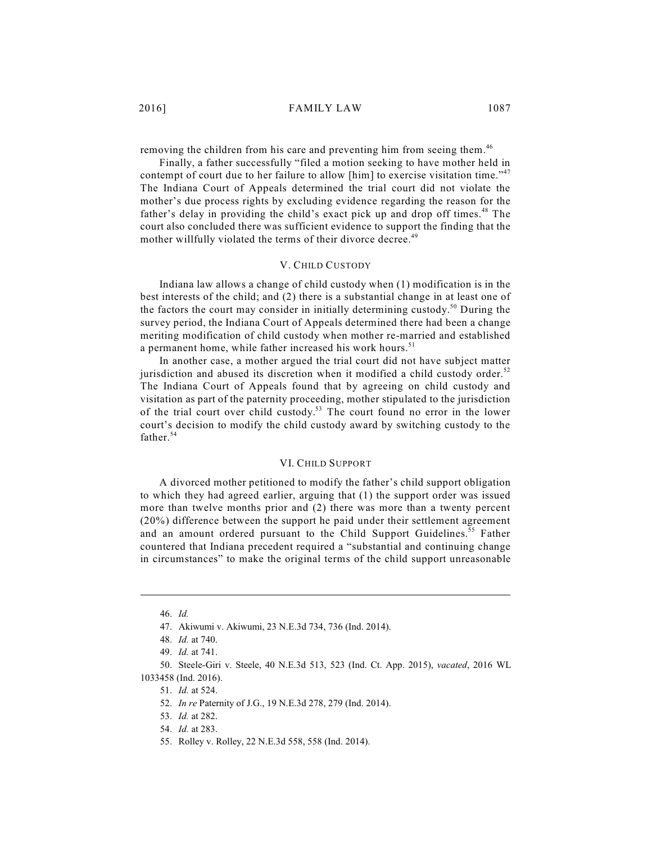removing the children from his care and preventing him from seeing them.<sup>46</sup>

Finally, a father successfully "filed a motion seeking to have mother held in contempt of court due to her failure to allow [him] to exercise visitation time."<sup>47</sup> The Indiana Court of Appeals determined the trial court did not violate the mother's due process rights by excluding evidence regarding the reason for the father's delay in providing the child's exact pick up and drop off times.<sup>48</sup> The court also concluded there was sufficient evidence to support the finding that the mother willfully violated the terms of their divorce decree.<sup>49</sup>

# V. CHILD CUSTODY

Indiana law allows a change of child custody when (1) modification is in the best interests of the child; and (2) there is a substantial change in at least one of the factors the court may consider in initially determining custody.<sup>50</sup> During the survey period, the Indiana Court of Appeals determined there had been a change meriting modification of child custody when mother re-married and established a permanent home, while father increased his work hours.<sup>51</sup>

In another case, a mother argued the trial court did not have subject matter jurisdiction and abused its discretion when it modified a child custody order.<sup>52</sup> The Indiana Court of Appeals found that by agreeing on child custody and visitation as part of the paternity proceeding, mother stipulated to the jurisdiction of the trial court over child custody.<sup>53</sup> The court found no error in the lower court's decision to modify the child custody award by switching custody to the father. 54

### VI. CHILD SUPPORT

A divorced mother petitioned to modify the father's child support obligation to which they had agreed earlier, arguing that (1) the support order was issued more than twelve months prior and (2) there was more than a twenty percent (20%) difference between the support he paid under their settlement agreement and an amount ordered pursuant to the Child Support Guidelines.<sup>55</sup> Father countered that Indiana precedent required a "substantial and continuing change in circumstances" to make the original terms of the child support unreasonable

<sup>46.</sup> *Id.*

<sup>47.</sup> Akiwumi v. Akiwumi, 23 N.E.3d 734, 736 (Ind. 2014).

<sup>48.</sup> *Id.* at 740.

<sup>49.</sup> *Id.* at 741.

<sup>50.</sup> Steele-Giri v. Steele, 40 N.E.3d 513, 523 (Ind. Ct. App. 2015), *vacated*, 2016 WL 1033458 (Ind. 2016).

<sup>51.</sup> *Id.* at 524.

<sup>52.</sup> *In re* Paternity of J.G., 19 N.E.3d 278, 279 (Ind. 2014).

<sup>53.</sup> *Id.* at 282.

<sup>54.</sup> *Id.* at 283.

<sup>55.</sup> Rolley v. Rolley, 22 N.E.3d 558, 558 (Ind. 2014).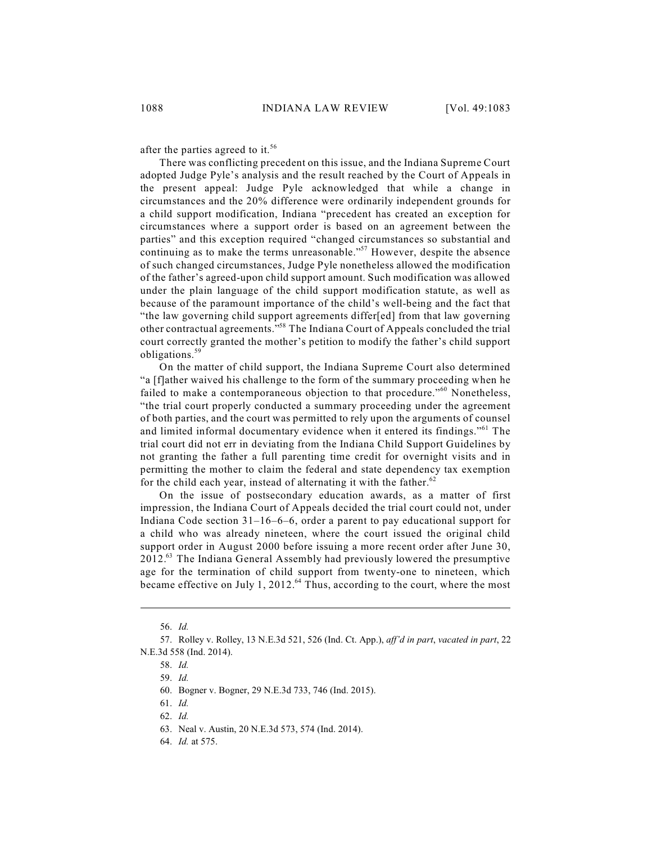after the parties agreed to it.<sup>56</sup>

There was conflicting precedent on this issue, and the Indiana Supreme Court adopted Judge Pyle's analysis and the result reached by the Court of Appeals in the present appeal: Judge Pyle acknowledged that while a change in circumstances and the 20% difference were ordinarily independent grounds for a child support modification, Indiana "precedent has created an exception for circumstances where a support order is based on an agreement between the parties" and this exception required "changed circumstances so substantial and continuing as to make the terms unreasonable."<sup>57</sup> However, despite the absence of such changed circumstances, Judge Pyle nonetheless allowed the modification of the father's agreed-upon child support amount. Such modification was allowed under the plain language of the child support modification statute, as well as because of the paramount importance of the child's well-being and the fact that "the law governing child support agreements differ[ed] from that law governing other contractual agreements."<sup>58</sup> The Indiana Court of Appeals concluded the trial court correctly granted the mother's petition to modify the father's child support obligations. 59

On the matter of child support, the Indiana Supreme Court also determined "a [f]ather waived his challenge to the form of the summary proceeding when he failed to make a contemporaneous objection to that procedure."<sup>60</sup> Nonetheless, "the trial court properly conducted a summary proceeding under the agreement of both parties, and the court was permitted to rely upon the arguments of counsel and limited informal documentary evidence when it entered its findings."<sup>61</sup> The trial court did not err in deviating from the Indiana Child Support Guidelines by not granting the father a full parenting time credit for overnight visits and in permitting the mother to claim the federal and state dependency tax exemption for the child each year, instead of alternating it with the father. $62$ 

On the issue of postsecondary education awards, as a matter of first impression, the Indiana Court of Appeals decided the trial court could not, under Indiana Code section 31–16–6–6, order a parent to pay educational support for a child who was already nineteen, where the court issued the original child support order in August 2000 before issuing a more recent order after June 30, 2012.<sup>63</sup> The Indiana General Assembly had previously lowered the presumptive age for the termination of child support from twenty-one to nineteen, which became effective on July 1, 2012. $64$  Thus, according to the court, where the most

<sup>56.</sup> *Id.*

<sup>57.</sup> Rolley v. Rolley, 13 N.E.3d 521, 526 (Ind. Ct. App.), *aff'd in part*, *vacated in part*, 22 N.E.3d 558 (Ind. 2014).

<sup>58.</sup> *Id.*

<sup>59.</sup> *Id.*

<sup>60.</sup> Bogner v. Bogner, 29 N.E.3d 733, 746 (Ind. 2015).

<sup>61.</sup> *Id.*

<sup>62.</sup> *Id.*

<sup>63.</sup> Neal v. Austin, 20 N.E.3d 573, 574 (Ind. 2014).

<sup>64.</sup> *Id.* at 575.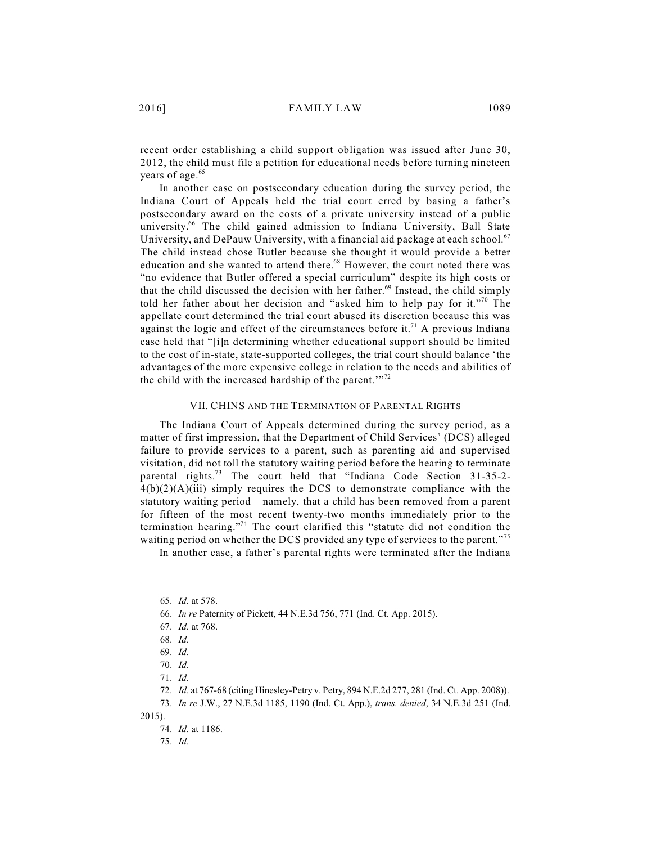recent order establishing a child support obligation was issued after June 30, 2012, the child must file a petition for educational needs before turning nineteen years of age. 65

In another case on postsecondary education during the survey period, the Indiana Court of Appeals held the trial court erred by basing a father's postsecondary award on the costs of a private university instead of a public university.<sup>66</sup> The child gained admission to Indiana University, Ball State University, and DePauw University, with a financial aid package at each school.<sup>67</sup> The child instead chose Butler because she thought it would provide a better education and she wanted to attend there.<sup>68</sup> However, the court noted there was "no evidence that Butler offered a special curriculum" despite its high costs or that the child discussed the decision with her father.<sup>69</sup> Instead, the child simply told her father about her decision and "asked him to help pay for it."<sup>70</sup> The appellate court determined the trial court abused its discretion because this was against the logic and effect of the circumstances before it.<sup>71</sup> A previous Indiana case held that "[i]n determining whether educational support should be limited to the cost of in-state, state-supported colleges, the trial court should balance 'the advantages of the more expensive college in relation to the needs and abilities of the child with the increased hardship of the parent." $2^{72}$ 

#### VII. CHINS AND THE TERMINATION OF PARENTAL RIGHTS

The Indiana Court of Appeals determined during the survey period, as a matter of first impression, that the Department of Child Services' (DCS) alleged failure to provide services to a parent, such as parenting aid and supervised visitation, did not toll the statutory waiting period before the hearing to terminate parental rights.<sup>73</sup> The court held that "Indiana Code Section 31-35-2- $4(b)(2)(A)(iii)$  simply requires the DCS to demonstrate compliance with the statutory waiting period—namely, that a child has been removed from a parent for fifteen of the most recent twenty-two months immediately prior to the termination hearing."<sup>74</sup> The court clarified this "statute did not condition the waiting period on whether the DCS provided any type of services to the parent."<sup>75</sup>

In another case, a father's parental rights were terminated after the Indiana

73. *In re* J.W., 27 N.E.3d 1185, 1190 (Ind. Ct. App.), *trans. denied*, 34 N.E.3d 251 (Ind. 2015).

<sup>65.</sup> *Id.* at 578.

<sup>66.</sup> *In re* Paternity of Pickett, 44 N.E.3d 756, 771 (Ind. Ct. App. 2015).

<sup>67.</sup> *Id.* at 768.

<sup>68.</sup> *Id.* 

<sup>69.</sup> *Id.*

<sup>70.</sup> *Id.*

<sup>71.</sup> *Id.*

<sup>72.</sup> *Id.* at 767-68 (citing Hinesley-Petry v. Petry, 894 N.E.2d 277, 281 (Ind. Ct. App. 2008)).

<sup>74.</sup> *Id.* at 1186.

<sup>75.</sup> *Id.*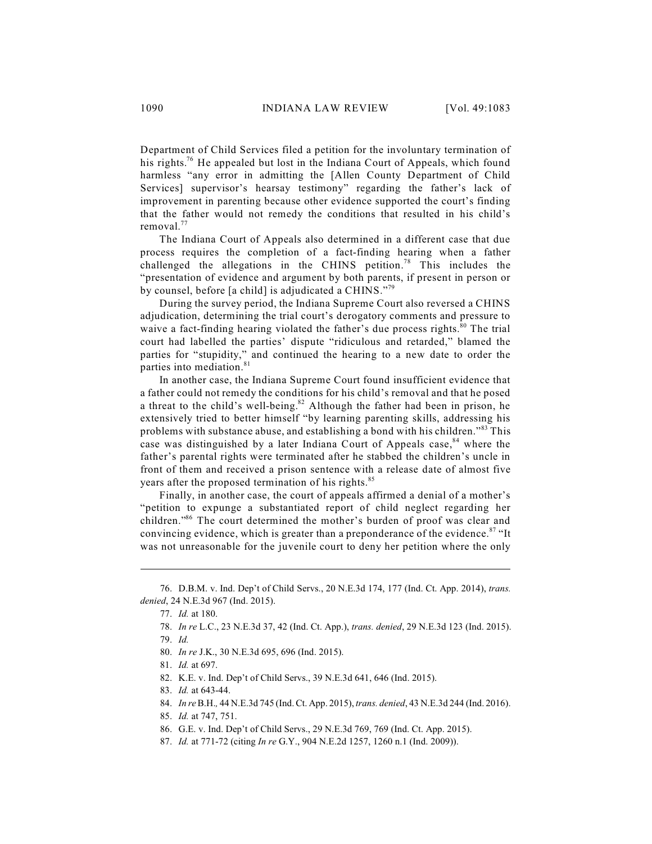Department of Child Services filed a petition for the involuntary termination of his rights.<sup>76</sup> He appealed but lost in the Indiana Court of Appeals, which found harmless "any error in admitting the [Allen County Department of Child Services] supervisor's hearsay testimony" regarding the father's lack of improvement in parenting because other evidence supported the court's finding that the father would not remedy the conditions that resulted in his child's removal.<sup>77</sup>

The Indiana Court of Appeals also determined in a different case that due process requires the completion of a fact-finding hearing when a father challenged the allegations in the CHINS petition.<sup>78</sup> This includes the "presentation of evidence and argument by both parents, if present in person or by counsel, before [a child] is adjudicated a CHINS."<sup>79</sup>

During the survey period, the Indiana Supreme Court also reversed a CHINS adjudication, determining the trial court's derogatory comments and pressure to waive a fact-finding hearing violated the father's due process rights.<sup>80</sup> The trial court had labelled the parties' dispute "ridiculous and retarded," blamed the parties for "stupidity," and continued the hearing to a new date to order the parties into mediation. 81

In another case, the Indiana Supreme Court found insufficient evidence that a father could not remedy the conditions for his child's removal and that he posed a threat to the child's well-being. $82$  Although the father had been in prison, he extensively tried to better himself "by learning parenting skills, addressing his problems with substance abuse, and establishing a bond with his children."<sup>83</sup> This case was distinguished by a later Indiana Court of Appeals case,<sup>84</sup> where the father's parental rights were terminated after he stabbed the children's uncle in front of them and received a prison sentence with a release date of almost five years after the proposed termination of his rights.<sup>85</sup>

Finally, in another case, the court of appeals affirmed a denial of a mother's "petition to expunge a substantiated report of child neglect regarding her children."<sup>86</sup> The court determined the mother's burden of proof was clear and convincing evidence, which is greater than a preponderance of the evidence.<sup>87</sup> "It was not unreasonable for the juvenile court to deny her petition where the only

<sup>76.</sup> D.B.M. v. Ind. Dep't of Child Servs., 20 N.E.3d 174, 177 (Ind. Ct. App. 2014), *trans. denied*, 24 N.E.3d 967 (Ind. 2015).

<sup>77.</sup> *Id.* at 180.

<sup>78.</sup> *In re* L.C., 23 N.E.3d 37, 42 (Ind. Ct. App.), *trans. denied*, 29 N.E.3d 123 (Ind. 2015).

<sup>79.</sup> *Id.* 

<sup>80.</sup> *In re* J.K., 30 N.E.3d 695, 696 (Ind. 2015).

<sup>81.</sup> *Id.* at 697.

<sup>82.</sup> K.E. v. Ind. Dep't of Child Servs., 39 N.E.3d 641, 646 (Ind. 2015).

<sup>83.</sup> *Id.* at 643-44.

<sup>84.</sup> *In re*B.H.*,* 44 N.E.3d 745 (Ind. Ct. App. 2015), *trans. denied*, 43 N.E.3d 244 (Ind. 2016).

<sup>85.</sup> *Id.* at 747, 751.

<sup>86.</sup> G.E. v. Ind. Dep't of Child Servs., 29 N.E.3d 769, 769 (Ind. Ct. App. 2015).

<sup>87.</sup> *Id.* at 771-72 (citing *In re* G.Y., 904 N.E.2d 1257, 1260 n.1 (Ind. 2009)).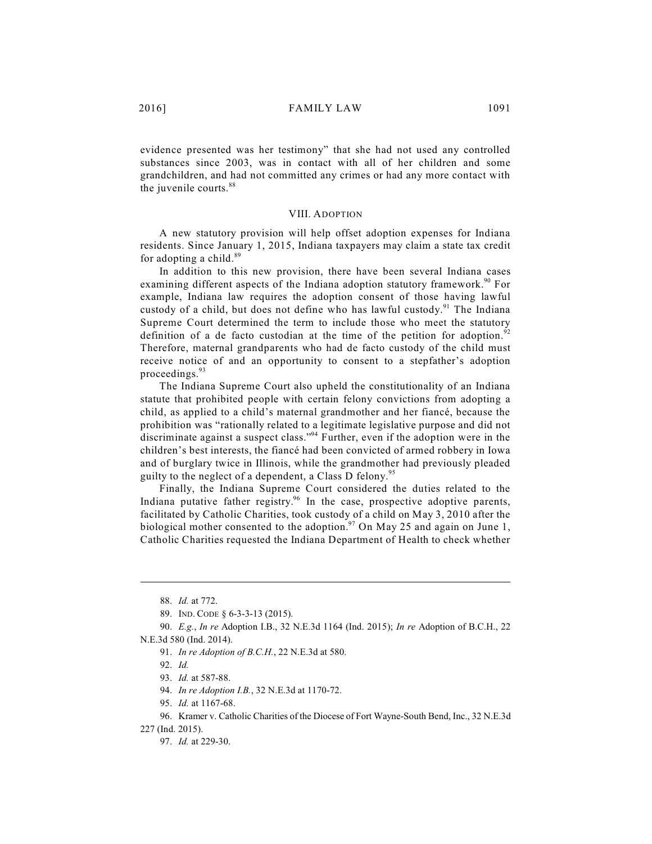evidence presented was her testimony" that she had not used any controlled substances since 2003, was in contact with all of her children and some grandchildren, and had not committed any crimes or had any more contact with the juvenile courts.<sup>88</sup>

### VIII. ADOPTION

A new statutory provision will help offset adoption expenses for Indiana residents. Since January 1, 2015, Indiana taxpayers may claim a state tax credit for adopting a child.<sup>89</sup>

In addition to this new provision, there have been several Indiana cases examining different aspects of the Indiana adoption statutory framework.<sup>90</sup> For example, Indiana law requires the adoption consent of those having lawful custody of a child, but does not define who has lawful custody.<sup>91</sup> The Indiana Supreme Court determined the term to include those who meet the statutory definition of a de facto custodian at the time of the petition for adoption.<sup>92</sup> Therefore, maternal grandparents who had de facto custody of the child must receive notice of and an opportunity to consent to a stepfather's adoption proceedings. 93

The Indiana Supreme Court also upheld the constitutionality of an Indiana statute that prohibited people with certain felony convictions from adopting a child, as applied to a child's maternal grandmother and her fiancé, because the prohibition was "rationally related to a legitimate legislative purpose and did not discriminate against a suspect class."<sup>94</sup> Further, even if the adoption were in the children's best interests, the fiancé had been convicted of armed robbery in Iowa and of burglary twice in Illinois, while the grandmother had previously pleaded guilty to the neglect of a dependent, a Class D felony.<sup>95</sup>

Finally, the Indiana Supreme Court considered the duties related to the Indiana putative father registry.<sup>96</sup> In the case, prospective adoptive parents, facilitated by Catholic Charities, took custody of a child on May 3, 2010 after the biological mother consented to the adoption.<sup>97</sup> On May 25 and again on June 1, Catholic Charities requested the Indiana Department of Health to check whether

95. *Id.* at 1167-68.

<sup>88.</sup> *Id.* at 772.

<sup>89.</sup> IND. CODE § 6-3-3-13 (2015).

<sup>90.</sup> *E.g.*, *In re* Adoption I.B., 32 N.E.3d 1164 (Ind. 2015); *In re* Adoption of B.C.H., 22 N.E.3d 580 (Ind. 2014).

<sup>91.</sup> *In re Adoption of B.C.H.*, 22 N.E.3d at 580.

<sup>92.</sup> *Id.*

<sup>93.</sup> *Id.* at 587-88.

<sup>94.</sup> *In re Adoption I.B.*, 32 N.E.3d at 1170-72.

<sup>96.</sup> Kramer v. Catholic Charities of the Diocese of Fort Wayne-South Bend, Inc., 32 N.E.3d

<sup>227 (</sup>Ind. 2015).

<sup>97.</sup> *Id.* at 229-30.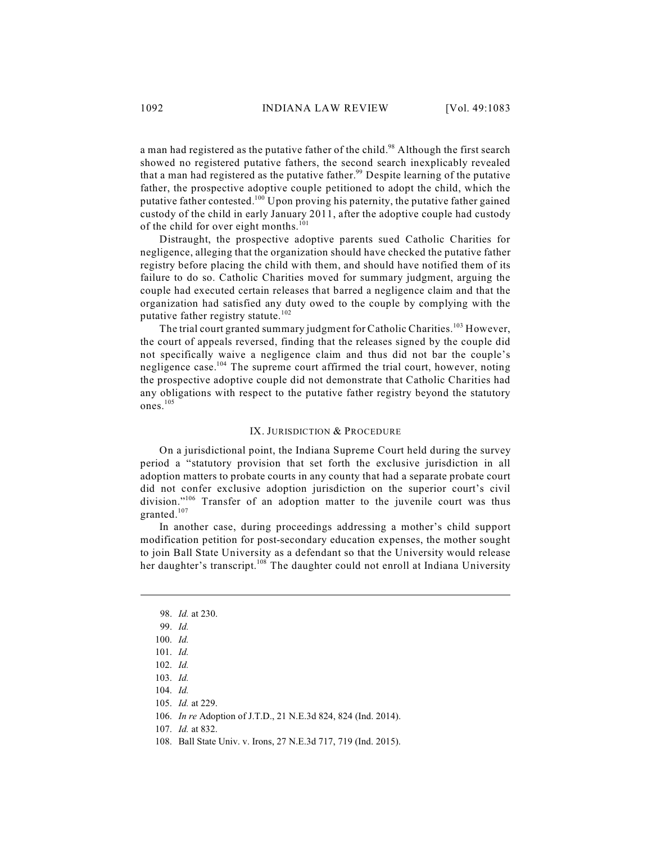a man had registered as the putative father of the child.<sup>98</sup> Although the first search showed no registered putative fathers, the second search inexplicably revealed that a man had registered as the putative father.<sup>99</sup> Despite learning of the putative father, the prospective adoptive couple petitioned to adopt the child, which the putative father contested.<sup>100</sup> Upon proving his paternity, the putative father gained custody of the child in early January 2011, after the adoptive couple had custody of the child for over eight months.<sup>101</sup>

Distraught, the prospective adoptive parents sued Catholic Charities for negligence, alleging that the organization should have checked the putative father registry before placing the child with them, and should have notified them of its failure to do so. Catholic Charities moved for summary judgment, arguing the couple had executed certain releases that barred a negligence claim and that the organization had satisfied any duty owed to the couple by complying with the putative father registry statute.<sup>102</sup>

The trial court granted summary judgment for Catholic Charities.<sup>103</sup> However, the court of appeals reversed, finding that the releases signed by the couple did not specifically waive a negligence claim and thus did not bar the couple's negligence case.<sup>104</sup> The supreme court affirmed the trial court, however, noting the prospective adoptive couple did not demonstrate that Catholic Charities had any obligations with respect to the putative father registry beyond the statutory ones. 105

### IX. JURISDICTION & PROCEDURE

On a jurisdictional point, the Indiana Supreme Court held during the survey period a "statutory provision that set forth the exclusive jurisdiction in all adoption matters to probate courts in any county that had a separate probate court did not confer exclusive adoption jurisdiction on the superior court's civil division."<sup>106</sup> Transfer of an adoption matter to the juvenile court was thus granted. 107

In another case, during proceedings addressing a mother's child support modification petition for post-secondary education expenses, the mother sought to join Ball State University as a defendant so that the University would release her daughter's transcript.<sup>108</sup> The daughter could not enroll at Indiana University

<sup>98.</sup> *Id.* at 230.

<sup>99.</sup> *Id.* 

<sup>100.</sup> *Id.*

<sup>101.</sup> *Id.*

<sup>102.</sup> *Id.* 

<sup>103.</sup> *Id.*

<sup>104.</sup> *Id.*

<sup>105.</sup> *Id.* at 229.

<sup>106.</sup> *In re* Adoption of J.T.D., 21 N.E.3d 824, 824 (Ind. 2014).

<sup>107.</sup> *Id.* at 832.

<sup>108.</sup> Ball State Univ. v. Irons, 27 N.E.3d 717, 719 (Ind. 2015).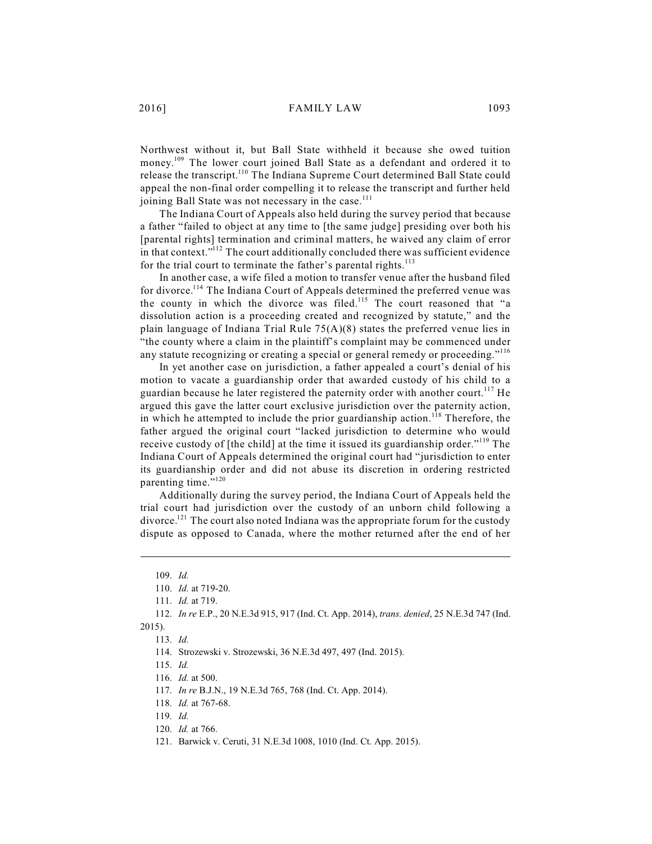Northwest without it, but Ball State withheld it because she owed tuition money.<sup>109</sup> The lower court joined Ball State as a defendant and ordered it to release the transcript.<sup>110</sup> The Indiana Supreme Court determined Ball State could appeal the non-final order compelling it to release the transcript and further held joining Ball State was not necessary in the case.<sup>111</sup>

The Indiana Court of Appeals also held during the survey period that because a father "failed to object at any time to [the same judge] presiding over both his [parental rights] termination and criminal matters, he waived any claim of error in that context."<sup>112</sup> The court additionally concluded there was sufficient evidence for the trial court to terminate the father's parental rights.<sup>113</sup>

In another case, a wife filed a motion to transfer venue after the husband filed for divorce.<sup>114</sup> The Indiana Court of Appeals determined the preferred venue was the county in which the divorce was filed.<sup>115</sup> The court reasoned that "a dissolution action is a proceeding created and recognized by statute," and the plain language of Indiana Trial Rule 75(A)(8) states the preferred venue lies in "the county where a claim in the plaintiff's complaint may be commenced under any statute recognizing or creating a special or general remedy or proceeding."<sup>116</sup>

In yet another case on jurisdiction, a father appealed a court's denial of his motion to vacate a guardianship order that awarded custody of his child to a guardian because he later registered the paternity order with another court.<sup>117</sup> He argued this gave the latter court exclusive jurisdiction over the paternity action, in which he attempted to include the prior guardianship action.<sup>118</sup> Therefore, the father argued the original court "lacked jurisdiction to determine who would receive custody of [the child] at the time it issued its guardianship order."<sup>119</sup> The Indiana Court of Appeals determined the original court had "jurisdiction to enter its guardianship order and did not abuse its discretion in ordering restricted parenting time."<sup>120</sup>

Additionally during the survey period, the Indiana Court of Appeals held the trial court had jurisdiction over the custody of an unborn child following a divorce.<sup>121</sup> The court also noted Indiana was the appropriate forum for the custody dispute as opposed to Canada, where the mother returned after the end of her

<sup>109.</sup> *Id.* 

<sup>110.</sup> *Id.* at 719-20.

<sup>111.</sup> *Id.* at 719.

<sup>112.</sup> *In re* E.P., 20 N.E.3d 915, 917 (Ind. Ct. App. 2014), *trans. denied*, 25 N.E.3d 747 (Ind. 2015).

<sup>113.</sup> *Id.* 

<sup>114.</sup> Strozewski v. Strozewski, 36 N.E.3d 497, 497 (Ind. 2015).

<sup>115.</sup> *Id.* 

<sup>116.</sup> *Id.* at 500.

<sup>117.</sup> *In re* B.J.N., 19 N.E.3d 765, 768 (Ind. Ct. App. 2014).

<sup>118.</sup> *Id.* at 767-68.

<sup>119.</sup> *Id.* 

<sup>120.</sup> *Id.* at 766.

<sup>121.</sup> Barwick v. Ceruti, 31 N.E.3d 1008, 1010 (Ind. Ct. App. 2015).